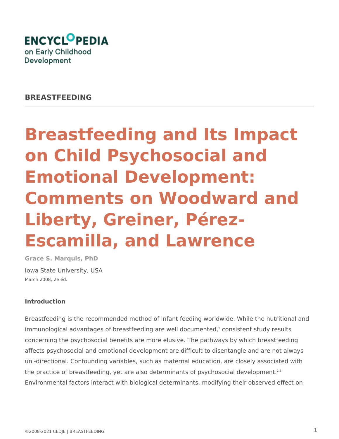

**BREASTFEEDING**

# **Breastfeeding and Its Impact on Child Psychosocial and Emotional Development: Comments on Woodward and Liberty, Greiner, Pérez-Escamilla, and Lawrence**

**Grace S. Marquis, PhD** Iowa State University, USA March 2008, 2e éd.

## **Introduction**

Breastfeeding is the recommended method of infant feeding worldwide. While the nutritional and immunological advantages of breastfeeding are well documented, $1$  consistent study results concerning the psychosocial benefits are more elusive. The pathways by which breastfeeding affects psychosocial and emotional development are difficult to disentangle and are not always uni-directional. Confounding variables, such as maternal education, are closely associated with the practice of breastfeeding, yet are also determinants of psychosocial development.<sup>2,3</sup> Environmental factors interact with biological determinants, modifying their observed effect on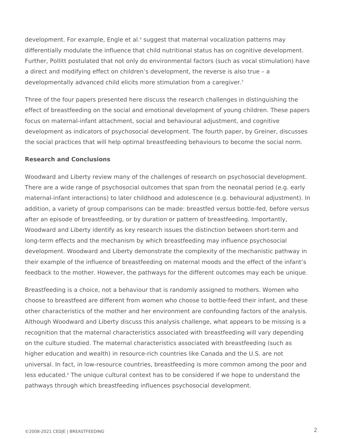development. For example, Engle et al.<sup>4</sup> suggest that maternal vocalization patterns may differentially modulate the influence that child nutritional status has on cognitive development. Further, Pollitt postulated that not only do environmental factors (such as vocal stimulation) have a direct and modifying effect on children's development, the reverse is also true – a developmentally advanced child elicits more stimulation from a caregiver.<sup>5</sup>

Three of the four papers presented here discuss the research challenges in distinguishing the effect of breastfeeding on the social and emotional development of young children. These papers focus on maternal-infant attachment, social and behavioural adjustment, and cognitive development as indicators of psychosocial development. The fourth paper, by Greiner, discusses the social practices that will help optimal breastfeeding behaviours to become the social norm.

## **Research and Conclusions**

Woodward and Liberty review many of the challenges of research on psychosocial development. There are a wide range of psychosocial outcomes that span from the neonatal period (e.g. early maternal-infant interactions) to later childhood and adolescence (e.g. behavioural adjustment). In addition, a variety of group comparisons can be made: breastfed versus bottle-fed, before versus after an episode of breastfeeding, or by duration or pattern of breastfeeding. Importantly, Woodward and Liberty identify as key research issues the distinction between short-term and long-term effects and the mechanism by which breastfeeding may influence psychosocial development. Woodward and Liberty demonstrate the complexity of the mechanistic pathway in their example of the influence of breastfeeding on maternal moods and the effect of the infant's feedback to the mother. However, the pathways for the different outcomes may each be unique.

Breastfeeding is a choice, not a behaviour that is randomly assigned to mothers. Women who choose to breastfeed are different from women who choose to bottle-feed their infant, and these other characteristics of the mother and her environment are confounding factors of the analysis. Although Woodward and Liberty discuss this analysis challenge, what appears to be missing is a recognition that the maternal characteristics associated with breastfeeding will vary depending on the culture studied. The maternal characteristics associated with breastfeeding (such as higher education and wealth) in resource-rich countries like Canada and the U.S. are not universal. In fact, in low-resource countries, breastfeeding is more common among the poor and less educated.<sup>6</sup> The unique cultural context has to be considered if we hope to understand the pathways through which breastfeeding influences psychosocial development.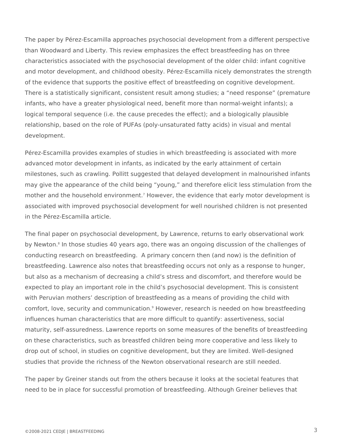The paper by Pérez-Escamilla approaches psychosocial development from a different perspective than Woodward and Liberty. This review emphasizes the effect breastfeeding has on three characteristics associated with the psychosocial development of the older child: infant cognitive and motor development, and childhood obesity. Pérez-Escamilla nicely demonstrates the strength of the evidence that supports the positive effect of breastfeeding on cognitive development. There is a statistically significant, consistent result among studies; a "need response" (premature infants, who have a greater physiological need, benefit more than normal-weight infants); a logical temporal sequence (i.e. the cause precedes the effect); and a biologically plausible relationship, based on the role of PUFAs (poly-unsaturated fatty acids) in visual and mental development.

Pérez-Escamilla provides examples of studies in which breastfeeding is associated with more advanced motor development in infants, as indicated by the early attainment of certain milestones, such as crawling. Pollitt suggested that delayed development in malnourished infants may give the appearance of the child being "young," and therefore elicit less stimulation from the mother and the household environment.<sup>7</sup> However, the evidence that early motor development is associated with improved psychosocial development for well nourished children is not presented in the Pérez-Escamilla article.

The final paper on psychosocial development, by Lawrence, returns to early observational work by Newton.<sup>8</sup> In those studies 40 years ago, there was an ongoing discussion of the challenges of conducting research on breastfeeding. A primary concern then (and now) is the definition of breastfeeding. Lawrence also notes that breastfeeding occurs not only as a response to hunger, but also as a mechanism of decreasing a child's stress and discomfort, and therefore would be expected to play an important role in the child's psychosocial development. This is consistent with Peruvian mothers' description of breastfeeding as a means of providing the child with comfort, love, security and communication.<sup>9</sup> However, research is needed on how breastfeeding influences human characteristics that are more difficult to quantify: assertiveness, social maturity, self-assuredness. Lawrence reports on some measures of the benefits of breastfeeding on these characteristics, such as breastfed children being more cooperative and less likely to drop out of school, in studies on cognitive development, but they are limited. Well-designed studies that provide the richness of the Newton observational research are still needed.

The paper by Greiner stands out from the others because it looks at the societal features that need to be in place for successful promotion of breastfeeding. Although Greiner believes that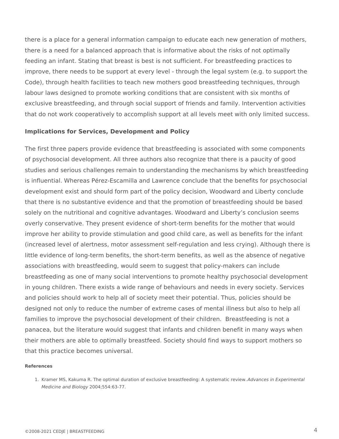there is a place for a general information campaign to educate each new generation of mothers, there is a need for a balanced approach that is informative about the risks of not optimally feeding an infant. Stating that breast is best is not sufficient. For breastfeeding practices to improve, there needs to be support at every level - through the legal system (e.g. to support the Code), through health facilities to teach new mothers good breastfeeding techniques, through labour laws designed to promote working conditions that are consistent with six months of exclusive breastfeeding, and through social support of friends and family. Intervention activities that do not work cooperatively to accomplish support at all levels meet with only limited success.

#### **Implications for Services, Development and Policy**

The first three papers provide evidence that breastfeeding is associated with some components of psychosocial development. All three authors also recognize that there is a paucity of good studies and serious challenges remain to understanding the mechanisms by which breastfeeding is influential. Whereas Pérez-Escamilla and Lawrence conclude that the benefits for psychosocial development exist and should form part of the policy decision, Woodward and Liberty conclude that there is no substantive evidence and that the promotion of breastfeeding should be based solely on the nutritional and cognitive advantages. Woodward and Liberty's conclusion seems overly conservative. They present evidence of short-term benefits for the mother that would improve her ability to provide stimulation and good child care, as well as benefits for the infant (increased level of alertness, motor assessment self-regulation and less crying). Although there is little evidence of long-term benefits, the short-term benefits, as well as the absence of negative associations with breastfeeding, would seem to suggest that policy-makers can include breastfeeding as one of many social interventions to promote healthy psychosocial development in young children. There exists a wide range of behaviours and needs in every society. Services and policies should work to help all of society meet their potential. Thus, policies should be designed not only to reduce the number of extreme cases of mental illness but also to help all families to improve the psychosocial development of their children. Breastfeeding is not a panacea, but the literature would suggest that infants and children benefit in many ways when their mothers are able to optimally breastfeed. Society should find ways to support mothers so that this practice becomes universal.

#### **References**

<sup>1.</sup> Kramer MS, Kakuma R. The optimal duration of exclusive breastfeeding: A systematic review. *Advances in Experimental*  2004;554:63-77. *Medicine and Biology*